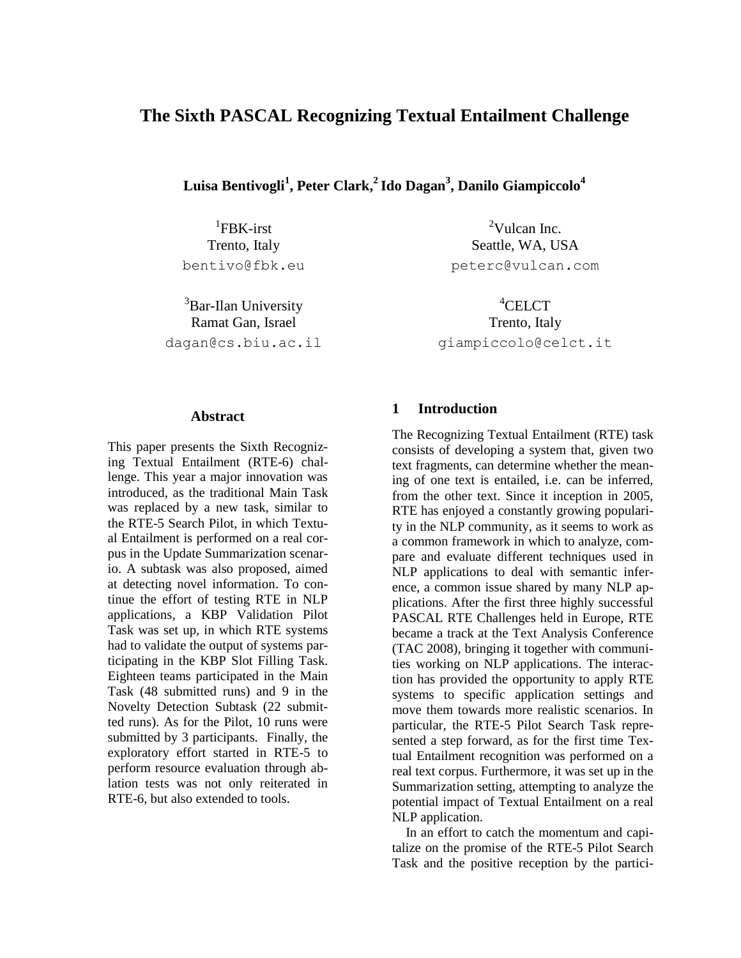# **The Sixth PASCAL Recognizing Textual Entailment Challenge**

**Luisa Bentivogli<sup>1</sup> , Peter Clark,<sup>2</sup> Ido Dagan<sup>3</sup> , Danilo Giampiccolo<sup>4</sup>**

1 FBK-irst Trento, Italy bentivo@fbk.eu

<sup>3</sup>Bar-Ilan University Ramat Gan, Israel dagan@cs.biu.ac.il

 $^{2}$ Vulcan Inc. Seattle, WA, USA peterc@vulcan.com

<sup>4</sup>CELCT Trento, Italy giampiccolo@celct.it

#### **Abstract**

This paper presents the Sixth Recognizing Textual Entailment (RTE-6) challenge. This year a major innovation was introduced, as the traditional Main Task was replaced by a new task, similar to the RTE-5 Search Pilot, in which Textual Entailment is performed on a real corpus in the Update Summarization scenario. A subtask was also proposed, aimed at detecting novel information. To continue the effort of testing RTE in NLP applications, a KBP Validation Pilot Task was set up, in which RTE systems had to validate the output of systems participating in the KBP Slot Filling Task. Eighteen teams participated in the Main Task (48 submitted runs) and 9 in the Novelty Detection Subtask (22 submitted runs). As for the Pilot, 10 runs were submitted by 3 participants. Finally, the exploratory effort started in RTE-5 to perform resource evaluation through ablation tests was not only reiterated in RTE-6, but also extended to tools.

#### **1 Introduction**

The Recognizing Textual Entailment (RTE) task consists of developing a system that, given two text fragments, can determine whether the meaning of one text is entailed, i.e. can be inferred, from the other text. Since it inception in 2005, RTE has enjoyed a constantly growing popularity in the NLP community, as it seems to work as a common framework in which to analyze, compare and evaluate different techniques used in NLP applications to deal with semantic inference, a common issue shared by many NLP applications. After the first three highly successful PASCAL RTE Challenges held in Europe, RTE became a track at the Text Analysis Conference (TAC 2008), bringing it together with communities working on NLP applications. The interaction has provided the opportunity to apply RTE systems to specific application settings and move them towards more realistic scenarios. In particular, the RTE-5 Pilot Search Task represented a step forward, as for the first time Textual Entailment recognition was performed on a real text corpus. Furthermore, it was set up in the Summarization setting, attempting to analyze the potential impact of Textual Entailment on a real NLP application.

In an effort to catch the momentum and capitalize on the promise of the RTE-5 Pilot Search Task and the positive reception by the partici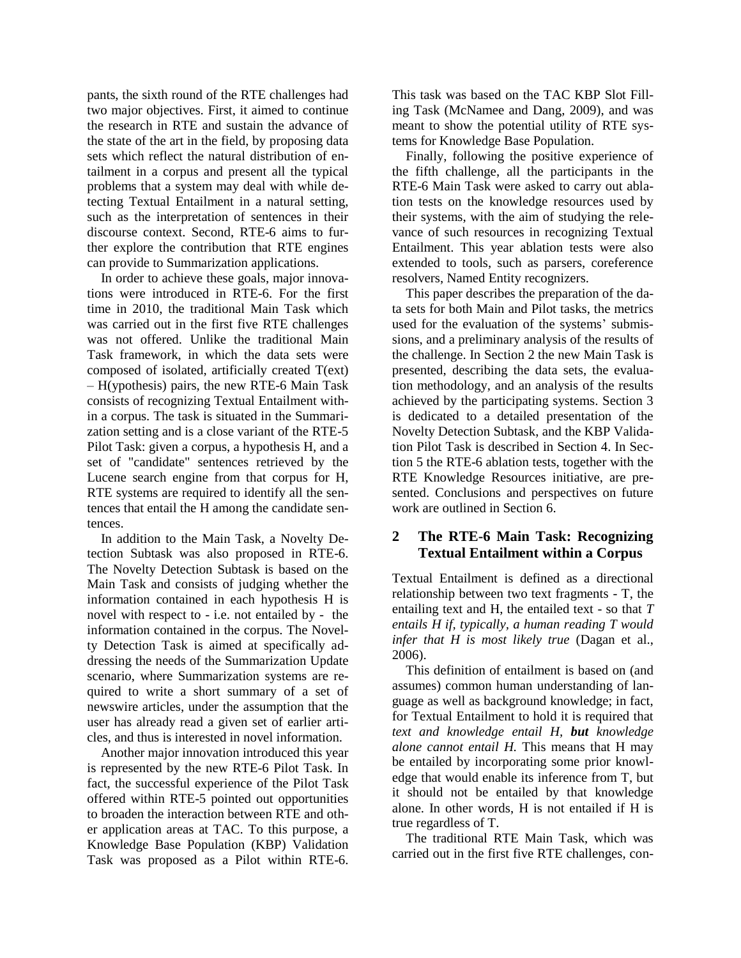pants, the sixth round of the RTE challenges had two major objectives. First, it aimed to continue the research in RTE and sustain the advance of the state of the art in the field, by proposing data sets which reflect the natural distribution of entailment in a corpus and present all the typical problems that a system may deal with while detecting Textual Entailment in a natural setting, such as the interpretation of sentences in their discourse context. Second, RTE-6 aims to further explore the contribution that RTE engines can provide to Summarization applications.

In order to achieve these goals, major innovations were introduced in RTE-6. For the first time in 2010, the traditional Main Task which was carried out in the first five RTE challenges was not offered. Unlike the traditional Main Task framework, in which the data sets were composed of isolated, artificially created T(ext) – H(ypothesis) pairs, the new RTE-6 Main Task consists of recognizing Textual Entailment within a corpus. The task is situated in the Summarization setting and is a close variant of the RTE-5 Pilot Task: given a corpus, a hypothesis H, and a set of "candidate" sentences retrieved by the Lucene search engine from that corpus for H, RTE systems are required to identify all the sentences that entail the H among the candidate sentences.

In addition to the Main Task, a Novelty Detection Subtask was also proposed in RTE-6. The Novelty Detection Subtask is based on the Main Task and consists of judging whether the information contained in each hypothesis H is novel with respect to - i.e. not entailed by - the information contained in the corpus. The Novelty Detection Task is aimed at specifically addressing the needs of the Summarization Update scenario, where Summarization systems are required to write a short summary of a set of newswire articles, under the assumption that the user has already read a given set of earlier articles, and thus is interested in novel information.

Another major innovation introduced this year is represented by the new RTE-6 Pilot Task. In fact, the successful experience of the Pilot Task offered within RTE-5 pointed out opportunities to broaden the interaction between RTE and other application areas at TAC. To this purpose, a Knowledge Base Population (KBP) Validation Task was proposed as a Pilot within RTE-6. This task was based on the TAC KBP Slot Filling Task (McNamee and Dang, 2009), and was meant to show the potential utility of RTE systems for Knowledge Base Population.

Finally, following the positive experience of the fifth challenge, all the participants in the RTE-6 Main Task were asked to carry out ablation tests on the knowledge resources used by their systems, with the aim of studying the relevance of such resources in recognizing Textual Entailment. This year ablation tests were also extended to tools, such as parsers, coreference resolvers, Named Entity recognizers.

This paper describes the preparation of the data sets for both Main and Pilot tasks, the metrics used for the evaluation of the systems' submissions, and a preliminary analysis of the results of the challenge. In Section 2 the new Main Task is presented, describing the data sets, the evaluation methodology, and an analysis of the results achieved by the participating systems. Section 3 is dedicated to a detailed presentation of the Novelty Detection Subtask, and the KBP Validation Pilot Task is described in Section 4. In Section 5 the RTE-6 ablation tests, together with the RTE Knowledge Resources initiative, are presented. Conclusions and perspectives on future work are outlined in Section 6.

## **2 The RTE-6 Main Task: Recognizing Textual Entailment within a Corpus**

Textual Entailment is defined as a directional relationship between two text fragments - T, the entailing text and H, the entailed text - so that *T entails H if, typically, a human reading T would infer that H is most likely true* (Dagan et al., 2006).

This definition of entailment is based on (and assumes) common human understanding of language as well as background knowledge; in fact, for Textual Entailment to hold it is required that *text and knowledge entail H, but knowledge alone cannot entail H.* This means that H may be entailed by incorporating some prior knowledge that would enable its inference from T, but it should not be entailed by that knowledge alone. In other words, H is not entailed if H is true regardless of T.

The traditional RTE Main Task, which was carried out in the first five RTE challenges, con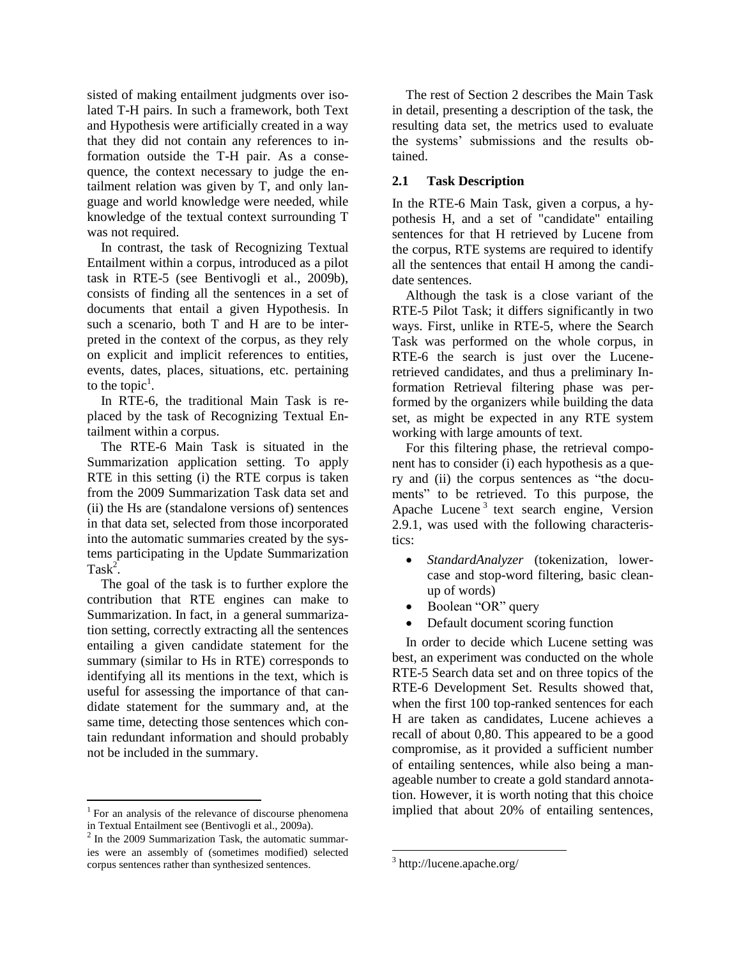sisted of making entailment judgments over isolated T-H pairs. In such a framework, both Text and Hypothesis were artificially created in a way that they did not contain any references to information outside the T-H pair. As a consequence, the context necessary to judge the entailment relation was given by T, and only language and world knowledge were needed, while knowledge of the textual context surrounding T was not required.

In contrast, the task of Recognizing Textual Entailment within a corpus, introduced as a pilot task in RTE-5 (see Bentivogli et al., 2009b), consists of finding all the sentences in a set of documents that entail a given Hypothesis. In such a scenario, both T and H are to be interpreted in the context of the corpus, as they rely on explicit and implicit references to entities, events, dates, places, situations, etc. pertaining to the topic<sup>1</sup>.

In RTE-6, the traditional Main Task is replaced by the task of Recognizing Textual Entailment within a corpus.

The RTE-6 Main Task is situated in the Summarization application setting. To apply RTE in this setting (i) the RTE corpus is taken from the 2009 Summarization Task data set and (ii) the Hs are (standalone versions of) sentences in that data set, selected from those incorporated into the automatic summaries created by the systems participating in the Update Summarization  $Task^2$ .

The goal of the task is to further explore the contribution that RTE engines can make to Summarization. In fact, in a general summarization setting, correctly extracting all the sentences entailing a given candidate statement for the summary (similar to Hs in RTE) corresponds to identifying all its mentions in the text, which is useful for assessing the importance of that candidate statement for the summary and, at the same time, detecting those sentences which contain redundant information and should probably not be included in the summary.

<sup>1</sup> For an analysis of the relevance of discourse phenomena in Textual Entailment see (Bentivogli et al., 2009a).

The rest of Section 2 describes the Main Task in detail, presenting a description of the task, the resulting data set, the metrics used to evaluate the systems' submissions and the results obtained.

### **2.1 Task Description**

In the RTE-6 Main Task, given a corpus, a hypothesis H, and a set of "candidate" entailing sentences for that H retrieved by Lucene from the corpus, RTE systems are required to identify all the sentences that entail H among the candidate sentences.

Although the task is a close variant of the RTE-5 Pilot Task; it differs significantly in two ways. First, unlike in RTE-5, where the Search Task was performed on the whole corpus, in RTE-6 the search is just over the Luceneretrieved candidates, and thus a preliminary Information Retrieval filtering phase was performed by the organizers while building the data set, as might be expected in any RTE system working with large amounts of text.

For this filtering phase, the retrieval component has to consider (i) each hypothesis as a query and (ii) the corpus sentences as "the documents" to be retrieved. To this purpose, the Apache Lucene<sup>3</sup> text search engine, Version 2.9.1, was used with the following characteristics:

- *StandardAnalyzer* (tokenization, lowercase and stop-word filtering, basic cleanup of words)
- Boolean "OR" query
- Default document scoring function

In order to decide which Lucene setting was best, an experiment was conducted on the whole RTE-5 Search data set and on three topics of the RTE-6 Development Set. Results showed that, when the first 100 top-ranked sentences for each H are taken as candidates, Lucene achieves a recall of about 0,80. This appeared to be a good compromise, as it provided a sufficient number of entailing sentences, while also being a manageable number to create a gold standard annotation. However, it is worth noting that this choice implied that about 20% of entailing sentences,

<sup>&</sup>lt;sup>2</sup> In the 2009 Summarization Task, the automatic summaries were an assembly of (sometimes modified) selected corpus sentences rather than synthesized sentences.

<sup>&</sup>lt;sup>3</sup> http://lucene.apache.org/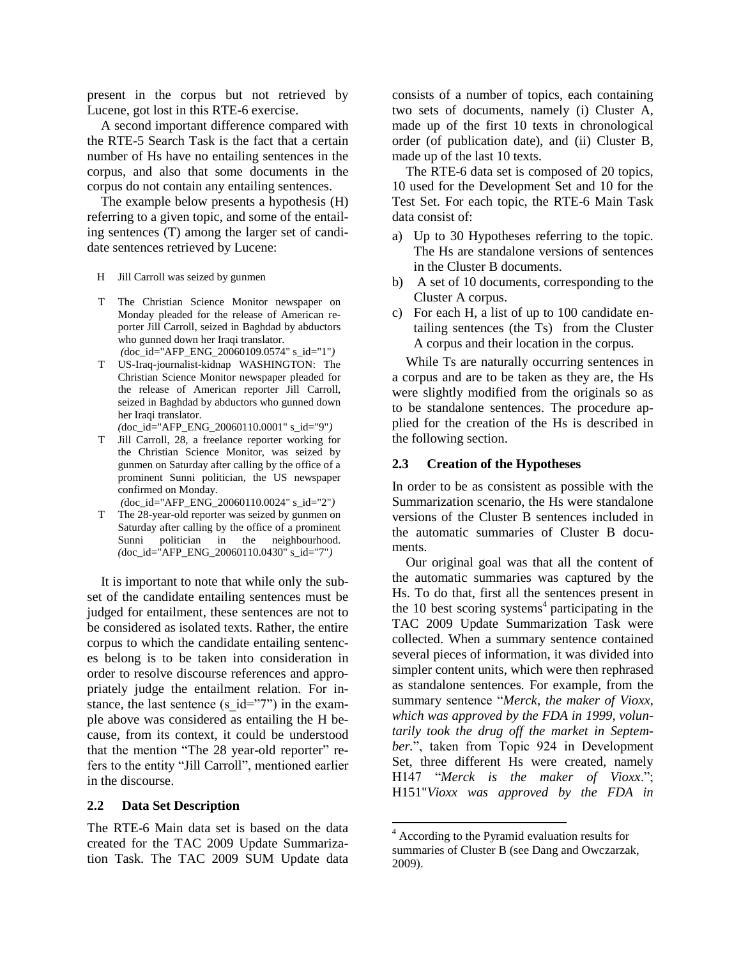present in the corpus but not retrieved by Lucene, got lost in this RTE-6 exercise.

A second important difference compared with the RTE-5 Search Task is the fact that a certain number of Hs have no entailing sentences in the corpus, and also that some documents in the corpus do not contain any entailing sentences.

The example below presents a hypothesis (H) referring to a given topic, and some of the entailing sentences (T) among the larger set of candidate sentences retrieved by Lucene:

- H Jill Carroll was seized by gunmen
- T The Christian Science Monitor newspaper on Monday pleaded for the release of American reporter Jill Carroll, seized in Baghdad by abductors who gunned down her Iraqi translator. *(*doc\_id="AFP\_ENG\_20060109.0574" s\_id="1"*)*
- T US-Iraq-journalist-kidnap WASHINGTON: The Christian Science Monitor newspaper pleaded for the release of American reporter Jill Carroll, seized in Baghdad by abductors who gunned down her Iraqi translator. *(*doc\_id="AFP\_ENG\_20060110.0001" s\_id="9"*)*
- T Jill Carroll, 28, a freelance reporter working for the Christian Science Monitor, was seized by gunmen on Saturday after calling by the office of a prominent Sunni politician, the US newspaper confirmed on Monday.
	- *(*doc\_id="AFP\_ENG\_20060110.0024" s\_id="2"*)*
- T The 28-year-old reporter was seized by gunmen on Saturday after calling by the office of a prominent Sunni politician in the neighbourhood. *(*doc\_id="AFP\_ENG\_20060110.0430" s\_id="7"*)*

It is important to note that while only the subset of the candidate entailing sentences must be judged for entailment, these sentences are not to be considered as isolated texts. Rather, the entire corpus to which the candidate entailing sentences belong is to be taken into consideration in order to resolve discourse references and appropriately judge the entailment relation. For instance, the last sentence (s  $id="7"$ ) in the example above was considered as entailing the H because, from its context, it could be understood that the mention "The 28 year-old reporter" refers to the entity "Jill Carroll", mentioned earlier in the discourse.

#### **2.2 Data Set Description**

The RTE-6 Main data set is based on the data created for the TAC 2009 Update Summarization Task. The TAC 2009 SUM Update data consists of a number of topics, each containing two sets of documents, namely (i) Cluster A, made up of the first 10 texts in chronological order (of publication date), and (ii) Cluster B, made up of the last 10 texts.

The RTE-6 data set is composed of 20 topics, 10 used for the Development Set and 10 for the Test Set. For each topic, the RTE-6 Main Task data consist of:

- a) Up to 30 Hypotheses referring to the topic. The Hs are standalone versions of sentences in the Cluster B documents.
- b) A set of 10 documents, corresponding to the Cluster A corpus.
- c) For each H, a list of up to 100 candidate entailing sentences (the Ts) from the Cluster A corpus and their location in the corpus.

While Ts are naturally occurring sentences in a corpus and are to be taken as they are, the Hs were slightly modified from the originals so as to be standalone sentences. The procedure applied for the creation of the Hs is described in the following section.

#### **2.3 Creation of the Hypotheses**

In order to be as consistent as possible with the Summarization scenario, the Hs were standalone versions of the Cluster B sentences included in the automatic summaries of Cluster B documents.

Our original goal was that all the content of the automatic summaries was captured by the Hs. To do that, first all the sentences present in the 10 best scoring systems<sup>4</sup> participating in the TAC 2009 Update Summarization Task were collected. When a summary sentence contained several pieces of information, it was divided into simpler content units, which were then rephrased as standalone sentences. For example, from the summary sentence "*Merck, the maker of Vioxx, which was approved by the FDA in 1999, voluntarily took the drug off the market in September.*", taken from Topic 924 in Development Set, three different Hs were created, namely H147 "*Merck is the maker of Vioxx*."; H151"*Vioxx was approved by the FDA in* 

<sup>4</sup> According to the Pyramid evaluation results for summaries of Cluster B (see Dang and Owczarzak, 2009).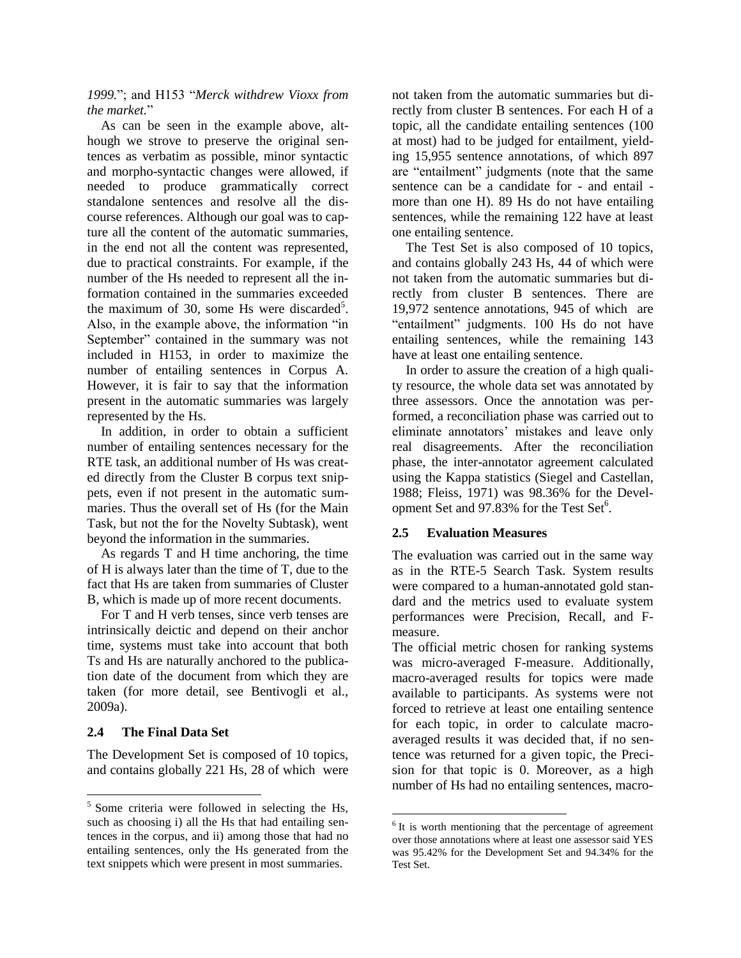*1999.*"; and H153 "*Merck withdrew Vioxx from the market.*"

As can be seen in the example above, although we strove to preserve the original sentences as verbatim as possible, minor syntactic and morpho-syntactic changes were allowed, if needed to produce grammatically correct standalone sentences and resolve all the discourse references. Although our goal was to capture all the content of the automatic summaries, in the end not all the content was represented, due to practical constraints. For example, if the number of the Hs needed to represent all the information contained in the summaries exceeded the maximum of 30, some Hs were discarded<sup>5</sup>. Also, in the example above, the information "in September" contained in the summary was not included in H153, in order to maximize the number of entailing sentences in Corpus A. However, it is fair to say that the information present in the automatic summaries was largely represented by the Hs.

In addition, in order to obtain a sufficient number of entailing sentences necessary for the RTE task, an additional number of Hs was created directly from the Cluster B corpus text snippets, even if not present in the automatic summaries. Thus the overall set of Hs (for the Main Task, but not the for the Novelty Subtask), went beyond the information in the summaries.

As regards T and H time anchoring, the time of H is always later than the time of T, due to the fact that Hs are taken from summaries of Cluster B, which is made up of more recent documents.

For T and H verb tenses, since verb tenses are intrinsically deictic and depend on their anchor time, systems must take into account that both Ts and Hs are naturally anchored to the publication date of the document from which they are taken (for more detail, see Bentivogli et al., 2009a).

### **2.4 The Final Data Set**

The Development Set is composed of 10 topics, and contains globally 221 Hs, 28 of which were not taken from the automatic summaries but directly from cluster B sentences. For each H of a topic, all the candidate entailing sentences (100 at most) had to be judged for entailment, yielding 15,955 sentence annotations, of which 897 are "entailment" judgments (note that the same sentence can be a candidate for - and entail more than one H). 89 Hs do not have entailing sentences, while the remaining 122 have at least one entailing sentence.

The Test Set is also composed of 10 topics, and contains globally 243 Hs, 44 of which were not taken from the automatic summaries but directly from cluster B sentences. There are 19,972 sentence annotations, 945 of which are "entailment" judgments. 100 Hs do not have entailing sentences, while the remaining 143 have at least one entailing sentence.

In order to assure the creation of a high quality resource, the whole data set was annotated by three assessors. Once the annotation was performed, a reconciliation phase was carried out to eliminate annotators' mistakes and leave only real disagreements. After the reconciliation phase, the inter-annotator agreement calculated using the Kappa statistics (Siegel and Castellan, 1988; Fleiss, 1971) was 98.36% for the Development Set and 97.83% for the Test Set<sup>6</sup>.

#### **2.5 Evaluation Measures**

The evaluation was carried out in the same way as in the RTE-5 Search Task. System results were compared to a human-annotated gold standard and the metrics used to evaluate system performances were Precision, Recall, and Fmeasure.

The official metric chosen for ranking systems was micro-averaged F-measure. Additionally, macro-averaged results for topics were made available to participants. As systems were not forced to retrieve at least one entailing sentence for each topic, in order to calculate macroaveraged results it was decided that, if no sentence was returned for a given topic, the Precision for that topic is 0. Moreover, as a high number of Hs had no entailing sentences, macro-

<sup>&</sup>lt;sup>5</sup> Some criteria were followed in selecting the Hs, such as choosing i) all the Hs that had entailing sentences in the corpus, and ii) among those that had no entailing sentences, only the Hs generated from the text snippets which were present in most summaries.

<sup>&</sup>lt;sup>6</sup> It is worth mentioning that the percentage of agreement over those annotations where at least one assessor said YES was 95.42% for the Development Set and 94.34% for the Test Set.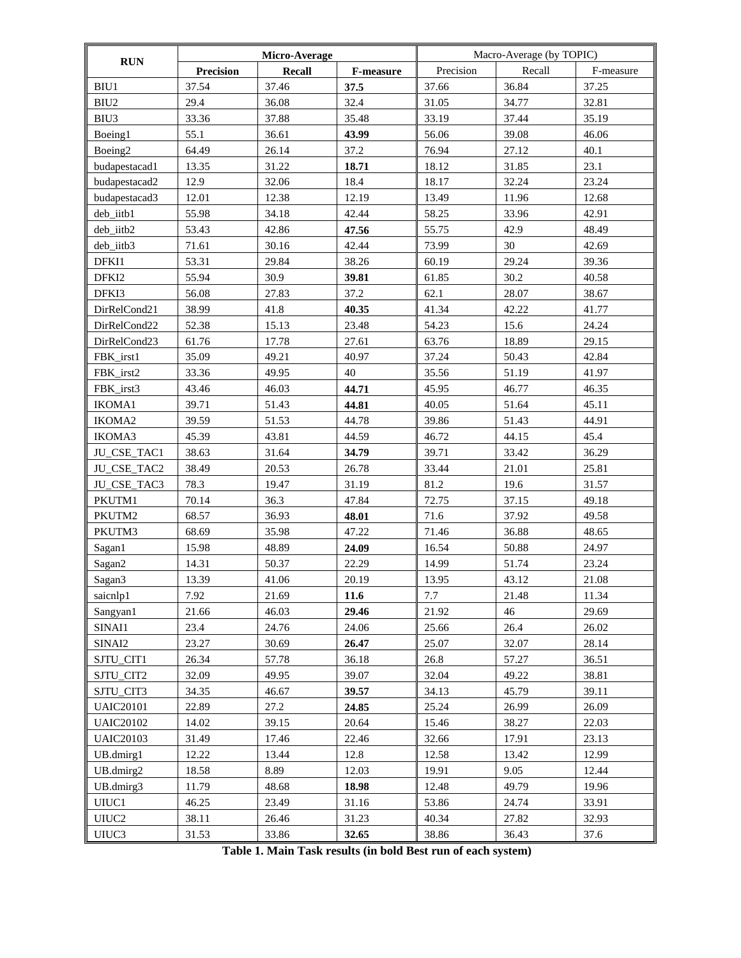| RUN                 | Micro-Average    |               |           | Macro-Average (by TOPIC) |        |           |  |
|---------------------|------------------|---------------|-----------|--------------------------|--------|-----------|--|
|                     | <b>Precision</b> | <b>Recall</b> | F-measure | Precision                | Recall | F-measure |  |
| BIU1                | 37.54            | 37.46         | 37.5      | 37.66                    | 36.84  | 37.25     |  |
| BIU <sub>2</sub>    | 29.4             | 36.08         | 32.4      | 31.05                    | 34.77  | 32.81     |  |
| BIU3                | 33.36            | 37.88         | 35.48     | 33.19                    | 37.44  | 35.19     |  |
| Boeing1             | 55.1             | 36.61         | 43.99     | 56.06                    | 39.08  | 46.06     |  |
| Boeing <sub>2</sub> | 64.49            | 26.14         | 37.2      | 76.94                    | 27.12  | 40.1      |  |
| budapestacad1       | 13.35            | 31.22         | 18.71     | 18.12                    | 31.85  | 23.1      |  |
| budapestacad2       | 12.9             | 32.06         | 18.4      | 18.17                    | 32.24  | 23.24     |  |
| budapestacad3       | 12.01            | 12.38         | 12.19     | 13.49                    | 11.96  | 12.68     |  |
| deb_iitb1           | 55.98            | 34.18         | 42.44     | 58.25                    | 33.96  | 42.91     |  |
| deb_iitb2           | 53.43            | 42.86         | 47.56     | 55.75                    | 42.9   | 48.49     |  |
| deb_iitb3           | 71.61            | 30.16         | 42.44     | 73.99                    | 30     | 42.69     |  |
| DFKI1               | 53.31            | 29.84         | 38.26     | 60.19                    | 29.24  | 39.36     |  |
| DFKI2               | 55.94            | 30.9          | 39.81     | 61.85                    | 30.2   | 40.58     |  |
| DFKI3               | 56.08            | 27.83         | 37.2      | 62.1                     | 28.07  | 38.67     |  |
| DirRelCond21        | 38.99            | 41.8          | 40.35     | 41.34                    | 42.22  | 41.77     |  |
| DirRelCond22        | 52.38            | 15.13         | 23.48     | 54.23                    | 15.6   | 24.24     |  |
| DirRelCond23        | 61.76            | 17.78         | 27.61     | 63.76                    | 18.89  | 29.15     |  |
| FBK_irst1           | 35.09            | 49.21         | 40.97     | 37.24                    | 50.43  | 42.84     |  |
| FBK irst2           | 33.36            | 49.95         | 40        | 35.56                    | 51.19  | 41.97     |  |
| FBK_irst3           | 43.46            | 46.03         | 44.71     | 45.95                    | 46.77  | 46.35     |  |
| IKOMA1              | 39.71            | 51.43         | 44.81     | 40.05                    | 51.64  | 45.11     |  |
| IKOMA2              | 39.59            | 51.53         | 44.78     | 39.86                    | 51.43  | 44.91     |  |
| IKOMA3              | 45.39            | 43.81         | 44.59     | 46.72                    | 44.15  | 45.4      |  |
| JU_CSE_TAC1         | 38.63            | 31.64         | 34.79     | 39.71                    | 33.42  | 36.29     |  |
| JU_CSE_TAC2         | 38.49            | 20.53         | 26.78     | 33.44                    | 21.01  | 25.81     |  |
| JU_CSE_TAC3         | 78.3             | 19.47         | 31.19     | 81.2                     | 19.6   | 31.57     |  |
| PKUTM1              | 70.14            | 36.3          | 47.84     | 72.75                    | 37.15  | 49.18     |  |
| PKUTM2              | 68.57            | 36.93         | 48.01     | 71.6                     | 37.92  | 49.58     |  |
| PKUTM3              | 68.69            | 35.98         | 47.22     | 71.46                    | 36.88  | 48.65     |  |
| Sagan1              | 15.98            | 48.89         | 24.09     | 16.54                    | 50.88  | 24.97     |  |
| Sagan2              | 14.31            | 50.37         | 22.29     | 14.99                    | 51.74  | 23.24     |  |
| Sagan3              | 13.39            | 41.06         | 20.19     | 13.95                    | 43.12  | 21.08     |  |
| saicnlp1            | 7.92             | 21.69         | 11.6      | 7.7                      | 21.48  | 11.34     |  |
| Sangyan1            | 21.66            | 46.03         | 29.46     | 21.92                    | 46     | 29.69     |  |
| SINAI1              | 23.4             | 24.76         | 24.06     | 25.66                    | 26.4   | 26.02     |  |
| SINAI2              | 23.27            | 30.69         | 26.47     | 25.07                    | 32.07  | 28.14     |  |
| SJTU_CIT1           | 26.34            | 57.78         | 36.18     | 26.8                     | 57.27  | 36.51     |  |
| SJTU_CIT2           | 32.09            | 49.95         | 39.07     | 32.04                    | 49.22  | 38.81     |  |
| SJTU_CIT3           | 34.35            | 46.67         | 39.57     | 34.13                    | 45.79  | 39.11     |  |
| <b>UAIC20101</b>    | 22.89            | 27.2          | 24.85     | 25.24                    | 26.99  | 26.09     |  |
| <b>UAIC20102</b>    | 14.02            | 39.15         | 20.64     | 15.46                    | 38.27  | 22.03     |  |
| <b>UAIC20103</b>    | 31.49            | 17.46         | 22.46     | 32.66                    | 17.91  | 23.13     |  |
| UB.dmirg1           | 12.22            | 13.44         | 12.8      | 12.58                    | 13.42  | 12.99     |  |
| UB.dmirg2           | 18.58            | 8.89          | 12.03     | 19.91                    | 9.05   | 12.44     |  |
| UB.dmirg3           | 11.79            | 48.68         | 18.98     | 12.48                    | 49.79  | 19.96     |  |
| UIUC1               | 46.25            | 23.49         | 31.16     | 53.86                    | 24.74  | 33.91     |  |
| UIUC <sub>2</sub>   | 38.11            | 26.46         | 31.23     | 40.34                    | 27.82  | 32.93     |  |
| UIUC3               | 31.53            | 33.86         | 32.65     | 38.86                    | 36.43  | 37.6      |  |

**Table 1. Main Task results (in bold Best run of each system)**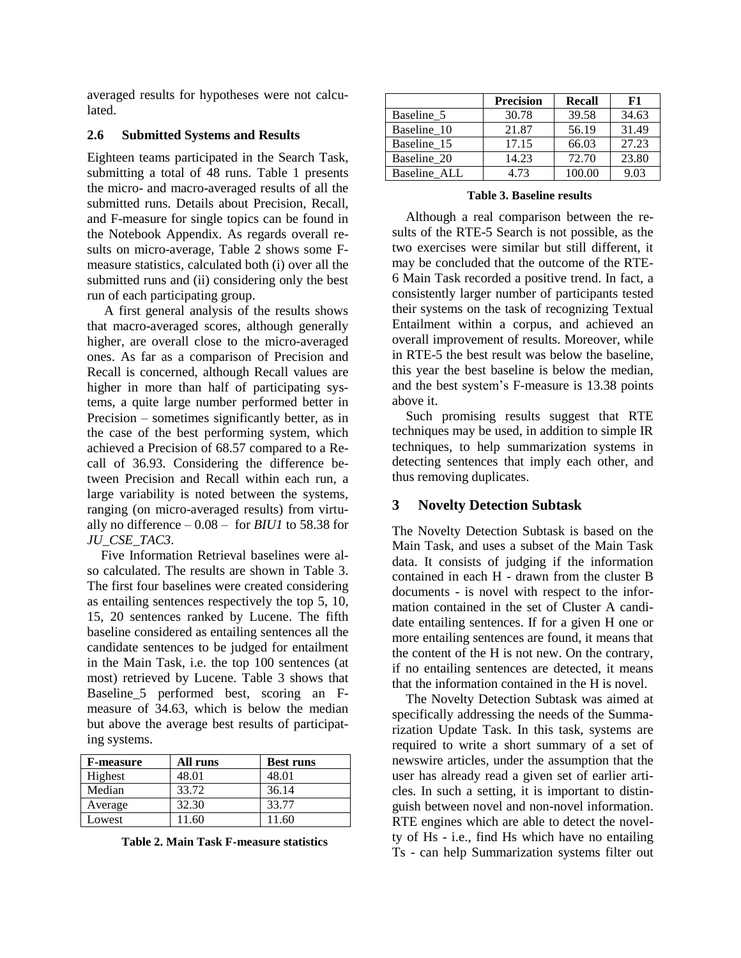averaged results for hypotheses were not calculated.

#### **2.6 Submitted Systems and Results**

Eighteen teams participated in the Search Task, submitting a total of 48 runs. Table 1 presents the micro- and macro-averaged results of all the submitted runs. Details about Precision, Recall, and F-measure for single topics can be found in the Notebook Appendix. As regards overall results on micro-average, Table 2 shows some Fmeasure statistics, calculated both (i) over all the submitted runs and (ii) considering only the best run of each participating group.

A first general analysis of the results shows that macro-averaged scores, although generally higher, are overall close to the micro-averaged ones. As far as a comparison of Precision and Recall is concerned, although Recall values are higher in more than half of participating systems, a quite large number performed better in Precision – sometimes significantly better, as in the case of the best performing system, which achieved a Precision of 68.57 compared to a Recall of 36.93. Considering the difference between Precision and Recall within each run, a large variability is noted between the systems, ranging (on micro-averaged results) from virtually no difference  $-0.08$  – for *BIU1* to 58.38 for *JU\_CSE\_TAC3*.

Five Information Retrieval baselines were also calculated. The results are shown in Table 3. The first four baselines were created considering as entailing sentences respectively the top 5, 10, 15, 20 sentences ranked by Lucene. The fifth baseline considered as entailing sentences all the candidate sentences to be judged for entailment in the Main Task, i.e. the top 100 sentences (at most) retrieved by Lucene. Table 3 shows that Baseline\_5 performed best, scoring an Fmeasure of 34.63, which is below the median but above the average best results of participating systems.

| <b>F-measure</b> | All runs | <b>Best runs</b> |
|------------------|----------|------------------|
| Highest          | 48.01    | 48.01            |
| Median           | 33.72    | 36.14            |
| Average          | 32.30    | 33.77            |
| Lowest           | 11.60    | 11.60            |

**Table 2. Main Task F-measure statistics**

|              | <b>Precision</b> | <b>Recall</b> | F1    |
|--------------|------------------|---------------|-------|
| Baseline 5   | 30.78            | 39.58         | 34.63 |
| Baseline 10  | 21.87            | 56.19         | 31.49 |
| Baseline 15  | 17.15            | 66.03         | 27.23 |
| Baseline 20  | 14.23            | 72.70         | 23.80 |
| Baseline ALL | 4.73             | 100.00        | 9.03  |

**Table 3. Baseline results**

Although a real comparison between the results of the RTE-5 Search is not possible, as the two exercises were similar but still different, it may be concluded that the outcome of the RTE-6 Main Task recorded a positive trend. In fact, a consistently larger number of participants tested their systems on the task of recognizing Textual Entailment within a corpus, and achieved an overall improvement of results. Moreover, while in RTE-5 the best result was below the baseline, this year the best baseline is below the median, and the best system's F-measure is 13.38 points above it.

Such promising results suggest that RTE techniques may be used, in addition to simple IR techniques, to help summarization systems in detecting sentences that imply each other, and thus removing duplicates.

# **3 Novelty Detection Subtask**

The Novelty Detection Subtask is based on the Main Task, and uses a subset of the Main Task data. It consists of judging if the information contained in each H - drawn from the cluster B documents - is novel with respect to the information contained in the set of Cluster A candidate entailing sentences. If for a given H one or more entailing sentences are found, it means that the content of the H is not new. On the contrary, if no entailing sentences are detected, it means that the information contained in the H is novel.

The Novelty Detection Subtask was aimed at specifically addressing the needs of the Summarization Update Task. In this task, systems are required to write a short summary of a set of newswire articles, under the assumption that the user has already read a given set of earlier articles. In such a setting, it is important to distinguish between novel and non-novel information. RTE engines which are able to detect the novelty of Hs - i.e., find Hs which have no entailing Ts - can help Summarization systems filter out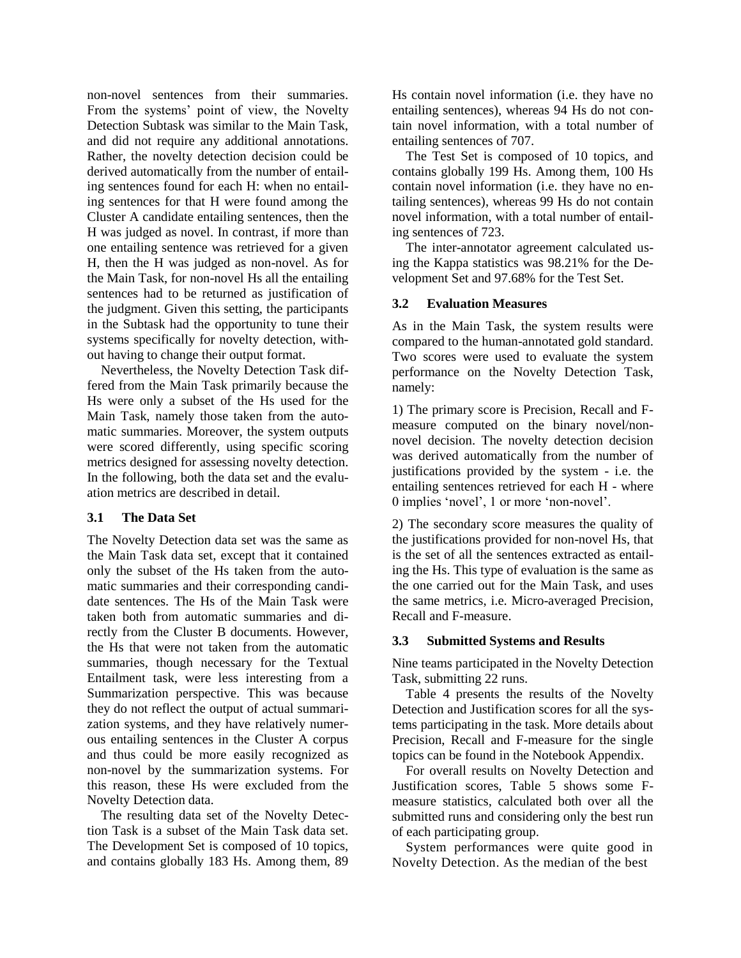non-novel sentences from their summaries. From the systems' point of view, the Novelty Detection Subtask was similar to the Main Task, and did not require any additional annotations. Rather, the novelty detection decision could be derived automatically from the number of entailing sentences found for each H: when no entailing sentences for that H were found among the Cluster A candidate entailing sentences, then the H was judged as novel. In contrast, if more than one entailing sentence was retrieved for a given H, then the H was judged as non-novel. As for the Main Task, for non-novel Hs all the entailing sentences had to be returned as justification of the judgment. Given this setting, the participants in the Subtask had the opportunity to tune their systems specifically for novelty detection, without having to change their output format.

Nevertheless, the Novelty Detection Task differed from the Main Task primarily because the Hs were only a subset of the Hs used for the Main Task, namely those taken from the automatic summaries. Moreover, the system outputs were scored differently, using specific scoring metrics designed for assessing novelty detection. In the following, both the data set and the evaluation metrics are described in detail.

### **3.1 The Data Set**

The Novelty Detection data set was the same as the Main Task data set, except that it contained only the subset of the Hs taken from the automatic summaries and their corresponding candidate sentences. The Hs of the Main Task were taken both from automatic summaries and directly from the Cluster B documents. However, the Hs that were not taken from the automatic summaries, though necessary for the Textual Entailment task, were less interesting from a Summarization perspective. This was because they do not reflect the output of actual summarization systems, and they have relatively numerous entailing sentences in the Cluster A corpus and thus could be more easily recognized as non-novel by the summarization systems. For this reason, these Hs were excluded from the Novelty Detection data.

The resulting data set of the Novelty Detection Task is a subset of the Main Task data set. The Development Set is composed of 10 topics, and contains globally 183 Hs. Among them, 89 Hs contain novel information (i.e. they have no entailing sentences), whereas 94 Hs do not contain novel information, with a total number of entailing sentences of 707.

The Test Set is composed of 10 topics, and contains globally 199 Hs. Among them, 100 Hs contain novel information (i.e. they have no entailing sentences), whereas 99 Hs do not contain novel information, with a total number of entailing sentences of 723.

The inter-annotator agreement calculated using the Kappa statistics was 98.21% for the Development Set and 97.68% for the Test Set.

### **3.2 Evaluation Measures**

As in the Main Task, the system results were compared to the human-annotated gold standard. Two scores were used to evaluate the system performance on the Novelty Detection Task, namely:

1) The primary score is Precision, Recall and Fmeasure computed on the binary novel/nonnovel decision. The novelty detection decision was derived automatically from the number of justifications provided by the system - i.e. the entailing sentences retrieved for each H - where 0 implies 'novel', 1 or more 'non-novel'.

2) The secondary score measures the quality of the justifications provided for non-novel Hs, that is the set of all the sentences extracted as entailing the Hs. This type of evaluation is the same as the one carried out for the Main Task, and uses the same metrics, i.e. Micro-averaged Precision, Recall and F-measure.

#### **3.3 Submitted Systems and Results**

Nine teams participated in the Novelty Detection Task, submitting 22 runs.

Table 4 presents the results of the Novelty Detection and Justification scores for all the systems participating in the task. More details about Precision, Recall and F-measure for the single topics can be found in the Notebook Appendix.

For overall results on Novelty Detection and Justification scores, Table 5 shows some Fmeasure statistics, calculated both over all the submitted runs and considering only the best run of each participating group.

System performances were quite good in Novelty Detection. As the median of the best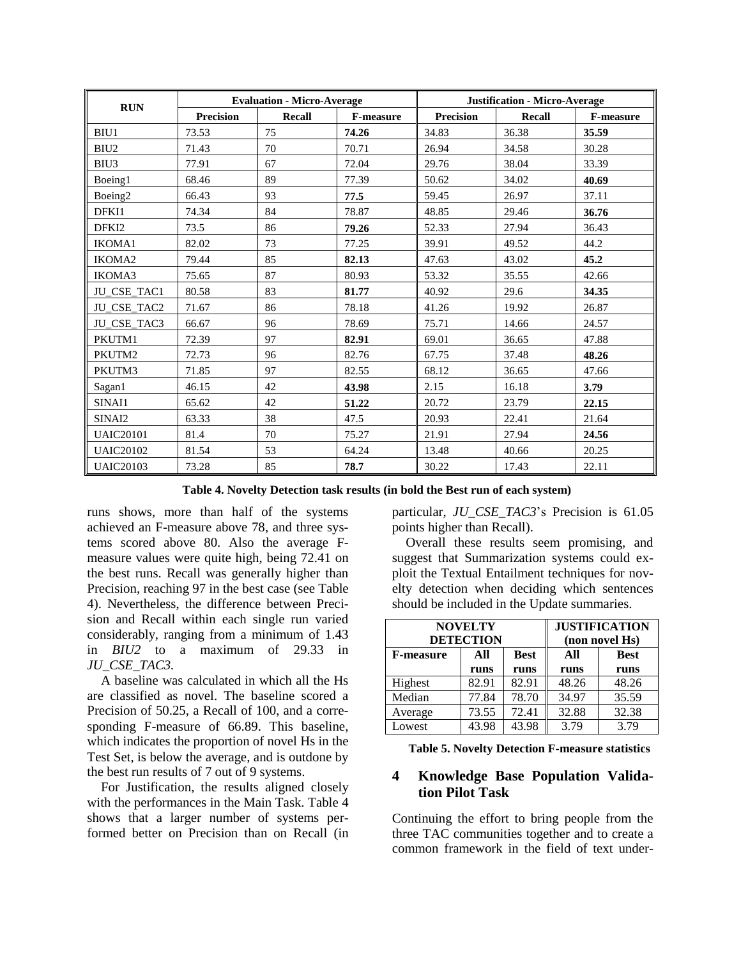|                     | <b>Evaluation - Micro-Average</b> |        |                  | <b>Justification - Micro-Average</b> |                |                  |  |
|---------------------|-----------------------------------|--------|------------------|--------------------------------------|----------------|------------------|--|
| <b>RUN</b>          | <b>Precision</b>                  | Recall | <b>F-measure</b> | <b>Precision</b>                     | <b>Recall</b>  | <b>F-measure</b> |  |
| BIU1                | 73.53                             | 75     | 74.26            | 34.83                                | 36.38          | 35.59            |  |
| BIU <sub>2</sub>    | 71.43                             | 70     | 70.71            | 26.94                                | 34.58          | 30.28            |  |
| BIU3                | 77.91                             | 67     | 72.04            | 29.76                                | 38.04          | 33.39            |  |
| Boeing1             | 68.46                             | 89     | 77.39            | 50.62                                | 34.02          | 40.69            |  |
| Boeing <sub>2</sub> | 66.43                             | 93     | 77.5             | 59.45                                | 26.97          | 37.11            |  |
| DFKI1               | 74.34                             | 84     | 78.87            | 48.85                                | 29.46          | 36.76            |  |
| DFK <sub>12</sub>   | 73.5                              | 86     | 79.26            | 52.33                                | 27.94          | 36.43            |  |
| <b>IKOMA1</b>       | 82.02                             | 73     | 77.25            | 39.91                                | 49.52          |                  |  |
| IKOMA2              | 79.44                             | 85     | 82.13            | 47.63                                | 43.02          | 45.2             |  |
| IKOMA3              | 75.65                             | 87     | 80.93            | 53.32                                | 35.55          | 42.66            |  |
| JU_CSE_TAC1         | 80.58                             | 83     | 81.77            | 40.92                                | 29.6           | 34.35            |  |
| JU_CSE_TAC2         | 71.67                             | 86     | 78.18            | 41.26                                | 19.92          | 26.87            |  |
| JU_CSE_TAC3         | 66.67                             | 96     | 78.69            | 75.71                                | 14.66          | 24.57            |  |
| PKUTM1              | 72.39                             | 97     | 82.91            | 69.01                                | 36.65<br>47.88 |                  |  |
| PKUTM2              | 72.73                             | 96     | 82.76            | 67.75                                | 37.48          | 48.26            |  |
| PKUTM3              | 71.85                             | 97     | 82.55            | 68.12                                | 36.65          | 47.66            |  |
| Sagan1              | 46.15                             | 42     | 43.98            | 2.15                                 | 16.18          | 3.79             |  |
| SINAI1              | 65.62                             | 42     | 51.22            | 20.72                                | 23.79          |                  |  |
| SINAI2              | 63.33                             | 38     | 47.5             | 20.93                                | 22.41<br>21.64 |                  |  |
| <b>UAIC20101</b>    | 81.4                              | 70     | 75.27            | 21.91<br>27.94                       |                | 24.56            |  |
| <b>UAIC20102</b>    | 81.54                             | 53     | 64.24            | 13.48                                | 40.66          | 20.25            |  |
| <b>UAIC20103</b>    | 73.28                             | 85     | 78.7             | 30.22                                | 17.43          | 22.11            |  |

**Table 4. Novelty Detection task results (in bold the Best run of each system)**

runs shows, more than half of the systems achieved an F-measure above 78, and three systems scored above 80. Also the average Fmeasure values were quite high, being 72.41 on the best runs. Recall was generally higher than Precision, reaching 97 in the best case (see Table 4). Nevertheless, the difference between Precision and Recall within each single run varied considerably, ranging from a minimum of 1.43 in *BIU2* to a maximum of 29.33 in *JU\_CSE\_TAC3.* 

A baseline was calculated in which all the Hs are classified as novel. The baseline scored a Precision of 50.25, a Recall of 100, and a corresponding F-measure of 66.89. This baseline, which indicates the proportion of novel Hs in the Test Set, is below the average, and is outdone by the best run results of 7 out of 9 systems.

For Justification, the results aligned closely with the performances in the Main Task. Table 4 shows that a larger number of systems performed better on Precision than on Recall (in

particular, *JU\_CSE\_TAC3*'s Precision is 61.05 points higher than Recall).

Overall these results seem promising, and suggest that Summarization systems could exploit the Textual Entailment techniques for novelty detection when deciding which sentences should be included in the Update summaries.

|                  | <b>NOVELTY</b><br><b>DETECTION</b> | <b>JUSTIFICATION</b><br>(non novel Hs) |       |             |  |
|------------------|------------------------------------|----------------------------------------|-------|-------------|--|
| <b>F-measure</b> | All                                | <b>Best</b>                            | All   | <b>Best</b> |  |
|                  | runs                               | runs                                   | runs  | runs        |  |
| Highest          | 82.91                              | 82.91                                  | 48.26 | 48.26       |  |
| Median           | 77.84                              | 78.70                                  | 34.97 | 35.59       |  |
| Average          | 73.55                              | 72.41                                  | 32.88 | 32.38       |  |
| Lowest           | 43.98                              | 43.98                                  | 3.79  | 3.79        |  |

**Table 5. Novelty Detection F-measure statistics**

# **4 Knowledge Base Population Validation Pilot Task**

Continuing the effort to bring people from the three TAC communities together and to create a common framework in the field of text under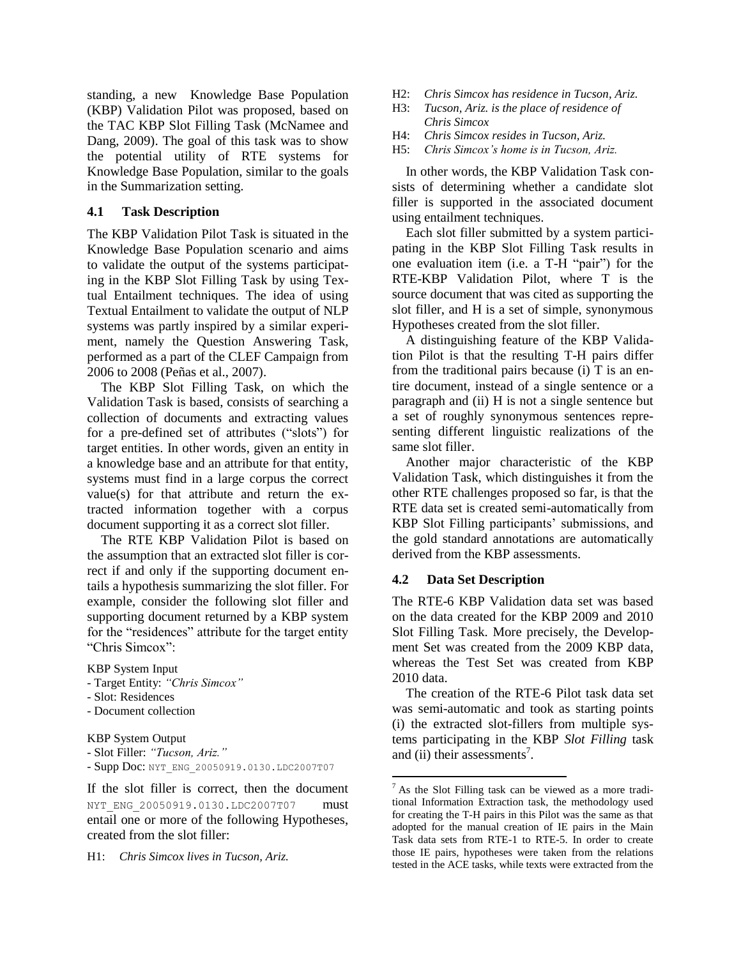standing, a new Knowledge Base Population (KBP) Validation Pilot was proposed, based on the TAC KBP Slot Filling Task (McNamee and Dang, 2009). The goal of this task was to show the potential utility of RTE systems for Knowledge Base Population, similar to the goals in the Summarization setting.

#### **4.1 Task Description**

The KBP Validation Pilot Task is situated in the Knowledge Base Population scenario and aims to validate the output of the systems participating in the KBP Slot Filling Task by using Textual Entailment techniques. The idea of using Textual Entailment to validate the output of NLP systems was partly inspired by a similar experiment, namely the Question Answering Task, performed as a part of the CLEF Campaign from 2006 to 2008 (Peñas et al., 2007).

The KBP Slot Filling Task, on which the Validation Task is based, consists of searching a collection of documents and extracting values for a pre-defined set of attributes ("slots") for target entities. In other words, given an entity in a knowledge base and an attribute for that entity, systems must find in a large corpus the correct value(s) for that attribute and return the extracted information together with a corpus document supporting it as a correct slot filler.

The RTE KBP Validation Pilot is based on the assumption that an extracted slot filler is correct if and only if the supporting document entails a hypothesis summarizing the slot filler. For example, consider the following slot filler and supporting document returned by a KBP system for the "residences" attribute for the target entity "Chris Simcox":

KBP System Input

- Target Entity: *"Chris Simcox"*
- Slot: Residences
- Document collection

KBP System Output

```
- Slot Filler: "Tucson, Ariz."
```
- Supp Doc: NYT\_ENG\_20050919.0130.LDC2007T07

If the slot filler is correct, then the document NYT\_ENG\_20050919.0130.LDC2007T07 must entail one or more of the following Hypotheses, created from the slot filler:

H1: *Chris Simcox lives in Tucson, Ariz.*

- H2: *Chris Simcox has residence in Tucson, Ariz.*
- H3: *Tucson, Ariz. is the place of residence of Chris Simcox*
- H4: *Chris Simcox resides in Tucson, Ariz.*
- H5: *Chris Simcox's home is in Tucson, Ariz.*

In other words, the KBP Validation Task consists of determining whether a candidate slot filler is supported in the associated document using entailment techniques.

Each slot filler submitted by a system participating in the KBP Slot Filling Task results in one evaluation item (i.e. a T-H "pair") for the RTE-KBP Validation Pilot, where T is the source document that was cited as supporting the slot filler, and H is a set of simple, synonymous Hypotheses created from the slot filler.

A distinguishing feature of the KBP Validation Pilot is that the resulting T-H pairs differ from the traditional pairs because (i) T is an entire document, instead of a single sentence or a paragraph and (ii) H is not a single sentence but a set of roughly synonymous sentences representing different linguistic realizations of the same slot filler.

Another major characteristic of the KBP Validation Task, which distinguishes it from the other RTE challenges proposed so far, is that the RTE data set is created semi-automatically from KBP Slot Filling participants' submissions, and the gold standard annotations are automatically derived from the KBP assessments.

### **4.2 Data Set Description**

The RTE-6 KBP Validation data set was based on the data created for the KBP 2009 and 2010 Slot Filling Task. More precisely, the Development Set was created from the 2009 KBP data, whereas the Test Set was created from KBP 2010 data.

The creation of the RTE-6 Pilot task data set was semi-automatic and took as starting points (i) the extracted slot-fillers from multiple systems participating in the KBP *Slot Filling* task and (ii) their assessments<sup>7</sup>.

 $<sup>7</sup>$  As the Slot Filling task can be viewed as a more tradi-</sup> tional Information Extraction task, the methodology used for creating the T-H pairs in this Pilot was the same as that adopted for the manual creation of IE pairs in the Main Task data sets from RTE-1 to RTE-5. In order to create those IE pairs, hypotheses were taken from the relations tested in the ACE tasks, while texts were extracted from the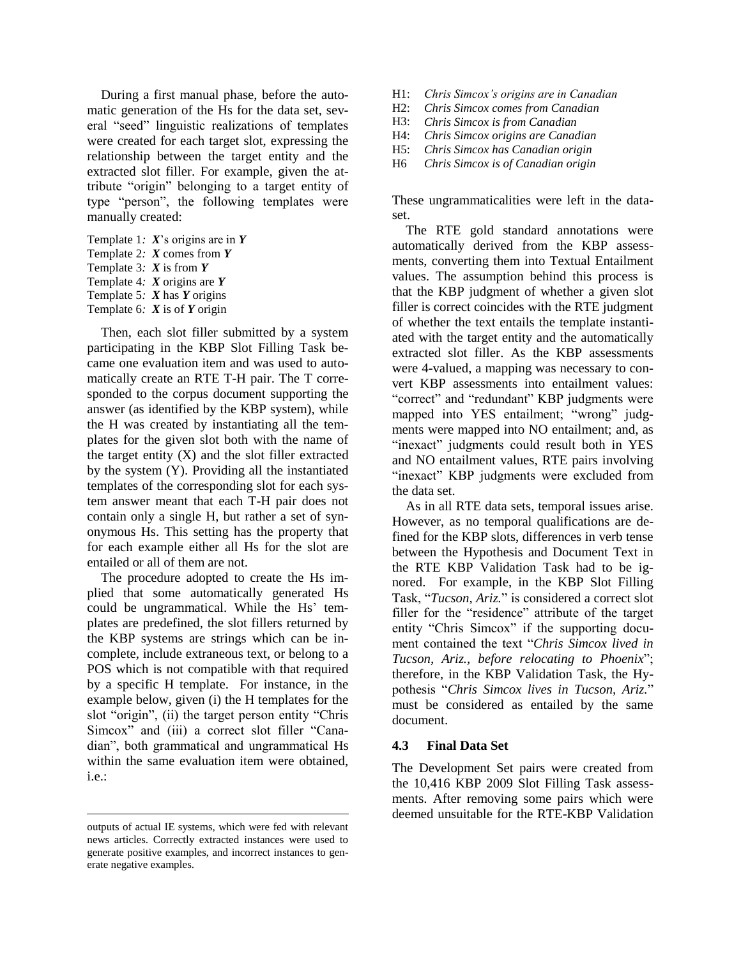During a first manual phase, before the automatic generation of the Hs for the data set, several "seed" linguistic realizations of templates were created for each target slot, expressing the relationship between the target entity and the extracted slot filler. For example, given the attribute "origin" belonging to a target entity of type "person", the following templates were manually created:

Template 1*: X*'s origins are in *Y* Template 2*: X* comes from *Y* Template 3*: X* is from *Y* Template 4*: X* origins are *Y* Template 5*: X* has *Y* origins Template 6*: X* is of *Y* origin

Then, each slot filler submitted by a system participating in the KBP Slot Filling Task became one evaluation item and was used to automatically create an RTE T-H pair. The T corresponded to the corpus document supporting the answer (as identified by the KBP system), while the H was created by instantiating all the templates for the given slot both with the name of the target entity  $(X)$  and the slot filler extracted by the system (Y). Providing all the instantiated templates of the corresponding slot for each system answer meant that each T-H pair does not contain only a single H, but rather a set of synonymous Hs. This setting has the property that for each example either all Hs for the slot are entailed or all of them are not.

The procedure adopted to create the Hs implied that some automatically generated Hs could be ungrammatical. While the Hs' templates are predefined, the slot fillers returned by the KBP systems are strings which can be incomplete, include extraneous text, or belong to a POS which is not compatible with that required by a specific H template. For instance, in the example below, given (i) the H templates for the slot "origin", (ii) the target person entity "Chris Simcox" and (iii) a correct slot filler "Canadian", both grammatical and ungrammatical Hs within the same evaluation item were obtained, i.e.:

- H1: *Chris Simcox's origins are in Canadian*
- H2: *Chris Simcox comes from Canadian*
- H3: *Chris Simcox is from Canadian*
- H4: *Chris Simcox origins are Canadian*
- H5: *Chris Simcox has Canadian origin*
- H6 *Chris Simcox is of Canadian origin*

These ungrammaticalities were left in the dataset.

The RTE gold standard annotations were automatically derived from the KBP assessments, converting them into Textual Entailment values. The assumption behind this process is that the KBP judgment of whether a given slot filler is correct coincides with the RTE judgment of whether the text entails the template instantiated with the target entity and the automatically extracted slot filler. As the KBP assessments were 4-valued, a mapping was necessary to convert KBP assessments into entailment values: "correct" and "redundant" KBP judgments were mapped into YES entailment; "wrong" judgments were mapped into NO entailment; and, as "inexact" judgments could result both in YES and NO entailment values, RTE pairs involving "inexact" KBP judgments were excluded from the data set.

As in all RTE data sets, temporal issues arise. However, as no temporal qualifications are defined for the KBP slots, differences in verb tense between the Hypothesis and Document Text in the RTE KBP Validation Task had to be ignored. For example, in the KBP Slot Filling Task, "*Tucson, Ariz.*" is considered a correct slot filler for the "residence" attribute of the target entity "Chris Simcox" if the supporting document contained the text "*Chris Simcox lived in Tucson, Ariz., before relocating to Phoenix*"; therefore, in the KBP Validation Task, the Hypothesis "*Chris Simcox lives in Tucson, Ariz.*" must be considered as entailed by the same document.

#### **4.3 Final Data Set**

The Development Set pairs were created from the 10,416 KBP 2009 Slot Filling Task assessments. After removing some pairs which were deemed unsuitable for the RTE-KBP Validation

outputs of actual IE systems, which were fed with relevant news articles. Correctly extracted instances were used to generate positive examples, and incorrect instances to generate negative examples.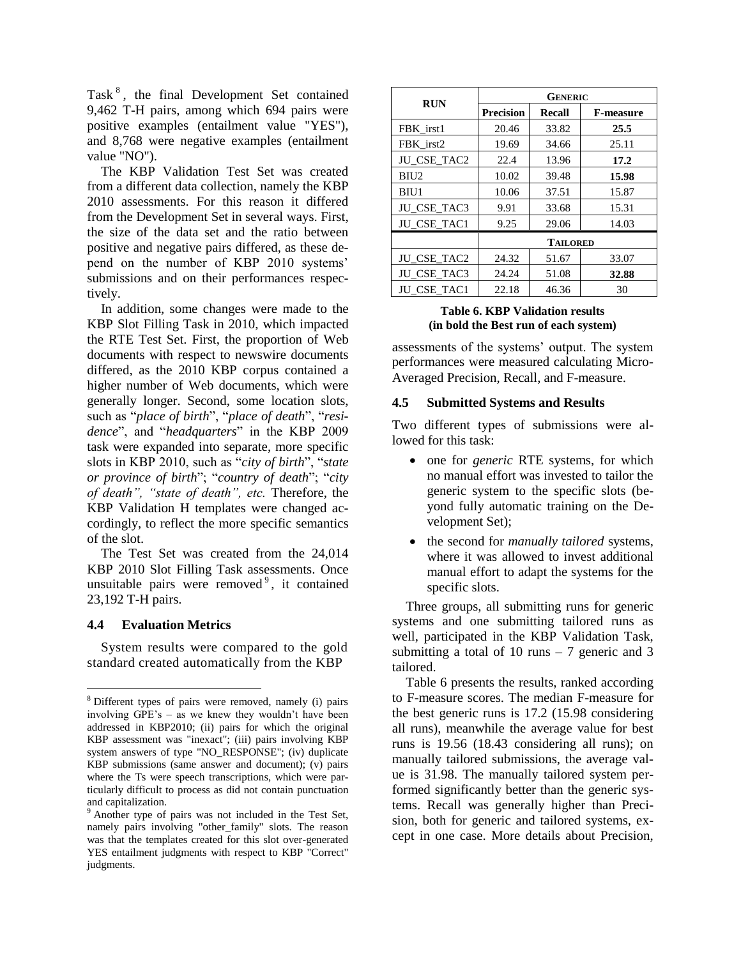Task<sup>8</sup>, the final Development Set contained 9,462 T-H pairs, among which 694 pairs were positive examples (entailment value "YES"), and 8,768 were negative examples (entailment value "NO").

The KBP Validation Test Set was created from a different data collection, namely the KBP 2010 assessments. For this reason it differed from the Development Set in several ways. First, the size of the data set and the ratio between positive and negative pairs differed, as these depend on the number of KBP 2010 systems' submissions and on their performances respectively.

In addition, some changes were made to the KBP Slot Filling Task in 2010, which impacted the RTE Test Set. First, the proportion of Web documents with respect to newswire documents differed, as the 2010 KBP corpus contained a higher number of Web documents, which were generally longer. Second, some location slots, such as "*place of birth*", "*place of death*", "*residence*", and "*headquarters*" in the KBP 2009 task were expanded into separate, more specific slots in KBP 2010, such as "*city of birth*", "*state or province of birth*"; "*country of death*"; "*city of death", "state of death", etc.* Therefore, the KBP Validation H templates were changed accordingly, to reflect the more specific semantics of the slot.

The Test Set was created from the 24,014 KBP 2010 Slot Filling Task assessments. Once unsuitable pairs were removed<sup>9</sup>, it contained 23,192 T-H pairs.

#### **4.4 Evaluation Metrics**

System results were compared to the gold standard created automatically from the KBP

| <b>RUN</b>         | <b>GENERIC</b>   |                |                  |  |  |  |
|--------------------|------------------|----------------|------------------|--|--|--|
|                    | <b>Precision</b> | <b>Recall</b>  | <b>F-measure</b> |  |  |  |
| FBK irst1          | 20.46            | 33.82          | 25.5             |  |  |  |
| FBK irst2          | 19.69            | 34.66          | 25.11            |  |  |  |
| JU_CSE_TAC2        | 22.4             | 13.96          | 17.2             |  |  |  |
| BIU <sub>2</sub>   | 10.02            | 39.48          | 15.98            |  |  |  |
| BIU1               | 10.06            | 37.51          | 15.87            |  |  |  |
| JU_CSE_TAC3        | 9.91             | 33.68          | 15.31            |  |  |  |
| <b>JU CSE TAC1</b> | 9.25             | 29.06<br>14.03 |                  |  |  |  |
|                    | <b>TAILORED</b>  |                |                  |  |  |  |
| JU_CSE_TAC2        | 24.32            | 51.67          | 33.07            |  |  |  |
| JU_CSE_TAC3        | 24.24            | 51.08          | 32.88            |  |  |  |
| <b>JU CSE TAC1</b> | 22.18            | 46.36          | 30               |  |  |  |

#### **Table 6. KBP Validation results (in bold the Best run of each system)**

assessments of the systems' output. The system performances were measured calculating Micro-Averaged Precision, Recall, and F-measure.

#### **4.5 Submitted Systems and Results**

Two different types of submissions were allowed for this task:

- one for *generic* RTE systems, for which no manual effort was invested to tailor the generic system to the specific slots (beyond fully automatic training on the Development Set);
- the second for *manually tailored* systems, where it was allowed to invest additional manual effort to adapt the systems for the specific slots.

Three groups, all submitting runs for generic systems and one submitting tailored runs as well, participated in the KBP Validation Task, submitting a total of 10 runs  $-7$  generic and 3 tailored.

Table 6 presents the results, ranked according to F-measure scores. The median F-measure for the best generic runs is 17.2 (15.98 considering all runs), meanwhile the average value for best runs is 19.56 (18.43 considering all runs); on manually tailored submissions, the average value is 31.98. The manually tailored system performed significantly better than the generic systems. Recall was generally higher than Precision, both for generic and tailored systems, except in one case. More details about Precision,

<sup>8</sup> Different types of pairs were removed, namely (i) pairs involving GPE's – as we knew they wouldn't have been addressed in KBP2010; (ii) pairs for which the original KBP assessment was "inexact"; (iii) pairs involving KBP system answers of type "NO\_RESPONSE"; (iv) duplicate KBP submissions (same answer and document); (v) pairs where the Ts were speech transcriptions, which were particularly difficult to process as did not contain punctuation and capitalization.

<sup>9</sup> Another type of pairs was not included in the Test Set, namely pairs involving "other\_family" slots. The reason was that the templates created for this slot over-generated YES entailment judgments with respect to KBP "Correct" judgments.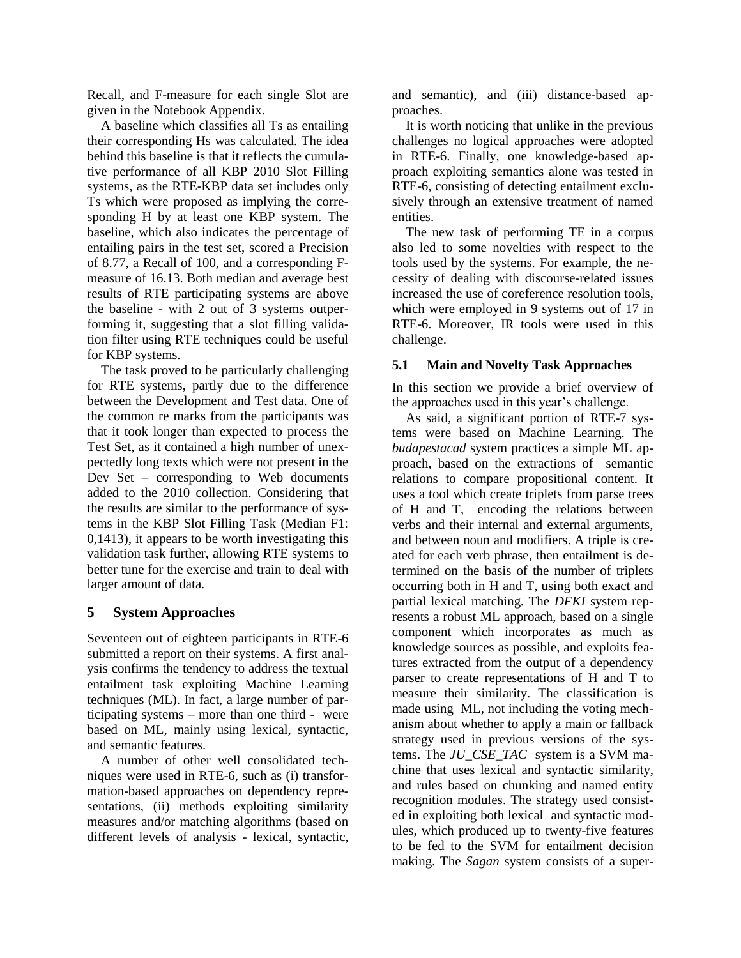Recall, and F-measure for each single Slot are given in the Notebook Appendix.

A baseline which classifies all Ts as entailing their corresponding Hs was calculated. The idea behind this baseline is that it reflects the cumulative performance of all KBP 2010 Slot Filling systems, as the RTE-KBP data set includes only Ts which were proposed as implying the corresponding H by at least one KBP system. The baseline, which also indicates the percentage of entailing pairs in the test set, scored a Precision of 8.77, a Recall of 100, and a corresponding Fmeasure of 16.13. Both median and average best results of RTE participating systems are above the baseline - with 2 out of 3 systems outperforming it, suggesting that a slot filling validation filter using RTE techniques could be useful for KBP systems.

The task proved to be particularly challenging for RTE systems, partly due to the difference between the Development and Test data. One of the common re marks from the participants was that it took longer than expected to process the Test Set, as it contained a high number of unexpectedly long texts which were not present in the Dev Set – corresponding to Web documents added to the 2010 collection. Considering that the results are similar to the performance of systems in the KBP Slot Filling Task (Median F1: 0,1413), it appears to be worth investigating this validation task further, allowing RTE systems to better tune for the exercise and train to deal with larger amount of data.

### **5 System Approaches**

Seventeen out of eighteen participants in RTE-6 submitted a report on their systems. A first analysis confirms the tendency to address the textual entailment task exploiting Machine Learning techniques (ML). In fact, a large number of participating systems – more than one third - were based on ML, mainly using lexical, syntactic, and semantic features.

A number of other well consolidated techniques were used in RTE-6, such as (i) transformation-based approaches on dependency representations, (ii) methods exploiting similarity measures and/or matching algorithms (based on different levels of analysis - lexical, syntactic, and semantic), and (iii) distance-based approaches.

It is worth noticing that unlike in the previous challenges no logical approaches were adopted in RTE-6. Finally, one knowledge-based approach exploiting semantics alone was tested in RTE-6, consisting of detecting entailment exclusively through an extensive treatment of named entities.

The new task of performing TE in a corpus also led to some novelties with respect to the tools used by the systems. For example, the necessity of dealing with discourse-related issues increased the use of coreference resolution tools, which were employed in 9 systems out of 17 in RTE-6. Moreover, IR tools were used in this challenge.

### **5.1 Main and Novelty Task Approaches**

In this section we provide a brief overview of the approaches used in this year's challenge.

As said, a significant portion of RTE-7 systems were based on Machine Learning. The *budapestacad* system practices a simple ML approach, based on the extractions of semantic relations to compare propositional content. It uses a tool which create triplets from parse trees of H and T, encoding the relations between verbs and their internal and external arguments, and between noun and modifiers. A triple is created for each verb phrase, then entailment is determined on the basis of the number of triplets occurring both in H and T, using both exact and partial lexical matching. The *DFKI* system represents a robust ML approach, based on a single component which incorporates as much as knowledge sources as possible, and exploits features extracted from the output of a dependency parser to create representations of H and T to measure their similarity. The classification is made using ML, not including the voting mechanism about whether to apply a main or fallback strategy used in previous versions of the systems. The *JU\_CSE\_TAC* system is a SVM machine that uses lexical and syntactic similarity, and rules based on chunking and named entity recognition modules. The strategy used consisted in exploiting both lexical and syntactic modules, which produced up to twenty-five features to be fed to the SVM for entailment decision making. The *Sagan* system consists of a super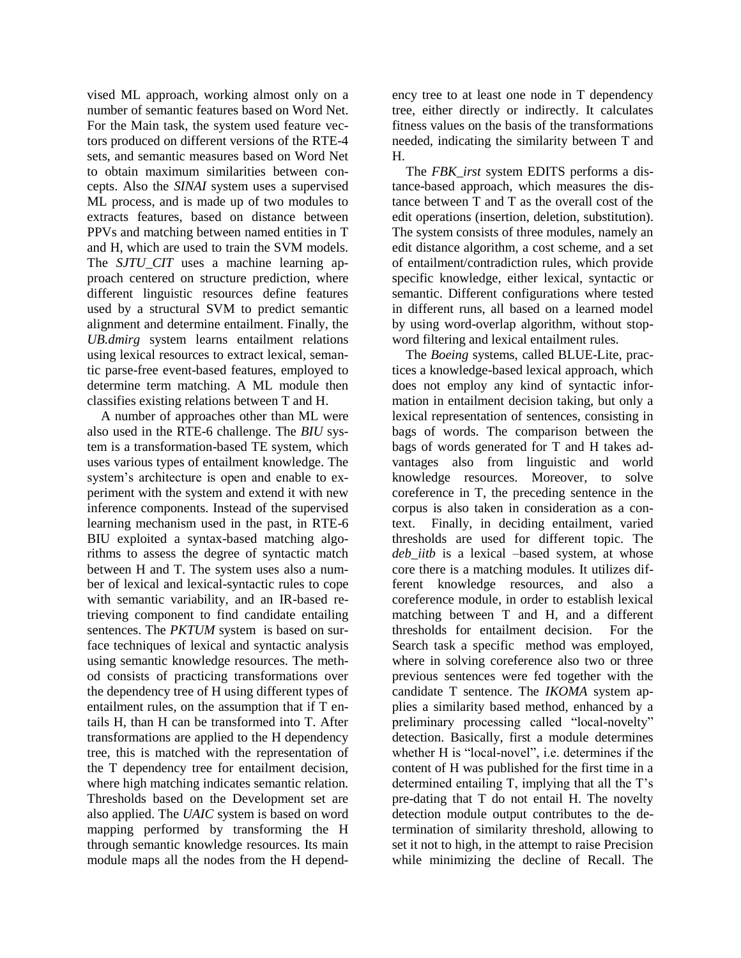vised ML approach, working almost only on a number of semantic features based on Word Net. For the Main task, the system used feature vectors produced on different versions of the RTE-4 sets, and semantic measures based on Word Net to obtain maximum similarities between concepts. Also the *SINAI* system uses a supervised ML process, and is made up of two modules to extracts features, based on distance between PPVs and matching between named entities in T and H, which are used to train the SVM models. The *SJTU\_CIT* uses a machine learning approach centered on structure prediction, where different linguistic resources define features used by a structural SVM to predict semantic alignment and determine entailment. Finally, the *UB.dmirg* system learns entailment relations using lexical resources to extract lexical, semantic parse-free event-based features, employed to determine term matching. A ML module then classifies existing relations between T and H.

A number of approaches other than ML were also used in the RTE-6 challenge. The *BIU* system is a transformation-based TE system, which uses various types of entailment knowledge. The system's architecture is open and enable to experiment with the system and extend it with new inference components. Instead of the supervised learning mechanism used in the past, in RTE-6 BIU exploited a syntax-based matching algorithms to assess the degree of syntactic match between H and T. The system uses also a number of lexical and lexical-syntactic rules to cope with semantic variability, and an IR-based retrieving component to find candidate entailing sentences. The *PKTUM* system is based on surface techniques of lexical and syntactic analysis using semantic knowledge resources. The method consists of practicing transformations over the dependency tree of H using different types of entailment rules, on the assumption that if T entails H, than H can be transformed into T. After transformations are applied to the H dependency tree, this is matched with the representation of the T dependency tree for entailment decision, where high matching indicates semantic relation. Thresholds based on the Development set are also applied. The *UAIC* system is based on word mapping performed by transforming the H through semantic knowledge resources. Its main module maps all the nodes from the H dependency tree to at least one node in T dependency tree, either directly or indirectly. It calculates fitness values on the basis of the transformations needed, indicating the similarity between T and H.

The *FBK\_irst* system EDITS performs a distance-based approach, which measures the distance between T and T as the overall cost of the edit operations (insertion, deletion, substitution). The system consists of three modules, namely an edit distance algorithm, a cost scheme, and a set of entailment/contradiction rules, which provide specific knowledge, either lexical, syntactic or semantic. Different configurations where tested in different runs, all based on a learned model by using word-overlap algorithm, without stopword filtering and lexical entailment rules.

The *Boeing* systems, called BLUE-Lite, practices a knowledge-based lexical approach, which does not employ any kind of syntactic information in entailment decision taking, but only a lexical representation of sentences, consisting in bags of words. The comparison between the bags of words generated for T and H takes advantages also from linguistic and world knowledge resources. Moreover, to solve coreference in T, the preceding sentence in the corpus is also taken in consideration as a context. Finally, in deciding entailment, varied thresholds are used for different topic. The *deb\_iitb* is a lexical –based system, at whose core there is a matching modules. It utilizes different knowledge resources, and also a coreference module, in order to establish lexical matching between T and H, and a different thresholds for entailment decision. For the Search task a specific method was employed, where in solving coreference also two or three previous sentences were fed together with the candidate T sentence. The *IKOMA* system applies a similarity based method, enhanced by a preliminary processing called "local-novelty" detection. Basically, first a module determines whether H is "local-novel", i.e. determines if the content of H was published for the first time in a determined entailing T, implying that all the T's pre-dating that T do not entail H. The novelty detection module output contributes to the determination of similarity threshold, allowing to set it not to high, in the attempt to raise Precision while minimizing the decline of Recall. The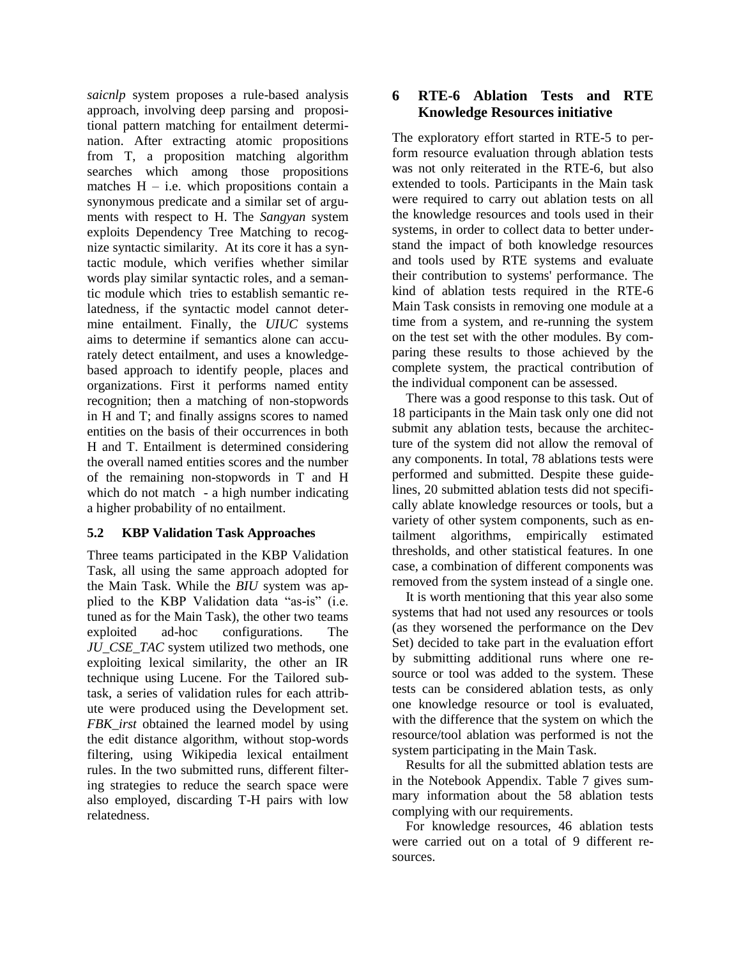*saicnlp* system proposes a rule-based analysis approach, involving deep parsing and propositional pattern matching for entailment determination. After extracting atomic propositions from T, a proposition matching algorithm searches which among those propositions matches  $H - i.e.$  which propositions contain a synonymous predicate and a similar set of arguments with respect to H. The *Sangyan* system exploits Dependency Tree Matching to recognize syntactic similarity. At its core it has a syntactic module, which verifies whether similar words play similar syntactic roles, and a semantic module which tries to establish semantic relatedness, if the syntactic model cannot determine entailment. Finally, the *UIUC* systems aims to determine if semantics alone can accurately detect entailment, and uses a knowledgebased approach to identify people, places and organizations. First it performs named entity recognition; then a matching of non-stopwords in H and T; and finally assigns scores to named entities on the basis of their occurrences in both H and T. Entailment is determined considering the overall named entities scores and the number of the remaining non-stopwords in T and H which do not match - a high number indicating a higher probability of no entailment.

### **5.2 KBP Validation Task Approaches**

Three teams participated in the KBP Validation Task, all using the same approach adopted for the Main Task. While the *BIU* system was applied to the KBP Validation data "as-is" (i.e. tuned as for the Main Task), the other two teams exploited ad-hoc configurations. The *JU\_CSE\_TAC* system utilized two methods, one exploiting lexical similarity, the other an IR technique using Lucene. For the Tailored subtask, a series of validation rules for each attribute were produced using the Development set. *FBK\_irst* obtained the learned model by using the edit distance algorithm, without stop-words filtering, using Wikipedia lexical entailment rules. In the two submitted runs, different filtering strategies to reduce the search space were also employed, discarding T-H pairs with low relatedness.

# **6 RTE-6 Ablation Tests and RTE Knowledge Resources initiative**

The exploratory effort started in RTE-5 to perform resource evaluation through ablation tests was not only reiterated in the RTE-6, but also extended to tools. Participants in the Main task were required to carry out ablation tests on all the knowledge resources and tools used in their systems, in order to collect data to better understand the impact of both knowledge resources and tools used by RTE systems and evaluate their contribution to systems' performance. The kind of ablation tests required in the RTE-6 Main Task consists in removing one module at a time from a system, and re-running the system on the test set with the other modules. By comparing these results to those achieved by the complete system, the practical contribution of the individual component can be assessed.

There was a good response to this task. Out of 18 participants in the Main task only one did not submit any ablation tests, because the architecture of the system did not allow the removal of any components. In total, 78 ablations tests were performed and submitted. Despite these guidelines, 20 submitted ablation tests did not specifically ablate knowledge resources or tools, but a variety of other system components, such as entailment algorithms, empirically estimated thresholds, and other statistical features. In one case, a combination of different components was removed from the system instead of a single one.

It is worth mentioning that this year also some systems that had not used any resources or tools (as they worsened the performance on the Dev Set) decided to take part in the evaluation effort by submitting additional runs where one resource or tool was added to the system. These tests can be considered ablation tests, as only one knowledge resource or tool is evaluated, with the difference that the system on which the resource/tool ablation was performed is not the system participating in the Main Task.

Results for all the submitted ablation tests are in the Notebook Appendix. Table 7 gives summary information about the 58 ablation tests complying with our requirements.

For knowledge resources, 46 ablation tests were carried out on a total of 9 different resources.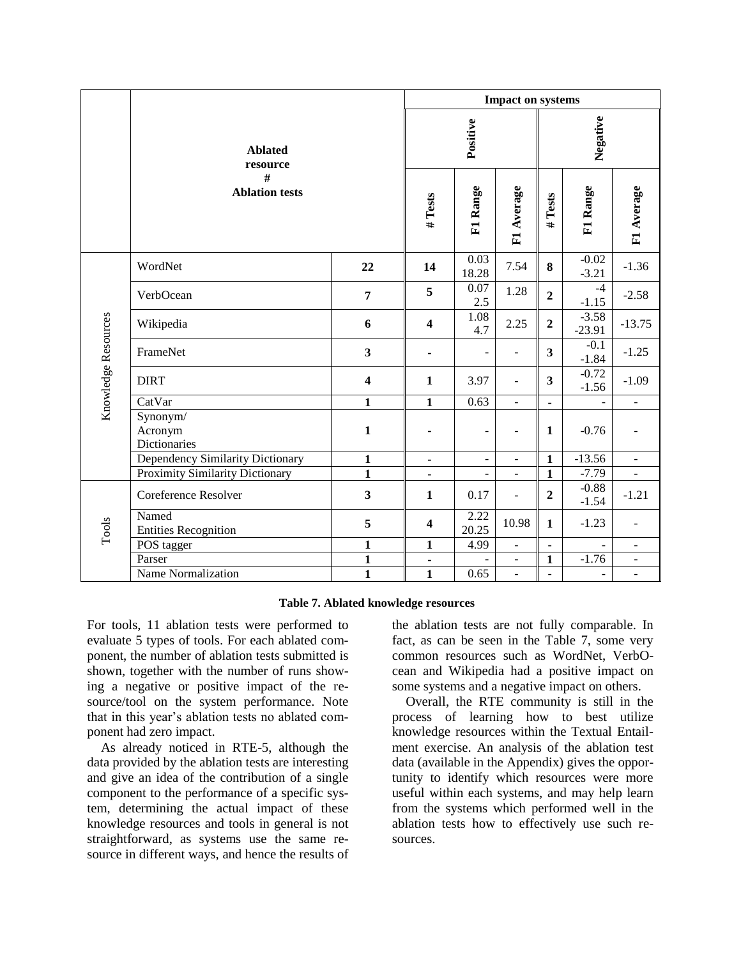|                     |                                                          |                         | <b>Impact on systems</b> |                              |                          |                          |                     |                |
|---------------------|----------------------------------------------------------|-------------------------|--------------------------|------------------------------|--------------------------|--------------------------|---------------------|----------------|
|                     | <b>Ablated</b><br>resource<br>#<br><b>Ablation tests</b> |                         | Positive                 |                              |                          | Negative                 |                     |                |
|                     |                                                          |                         | # Tests                  | F1 Range                     | F1 Average               | Tests<br>#               | F1 Range            | F1 Average     |
|                     | WordNet                                                  | 22                      | 14                       | 0.03<br>18.28                | 7.54                     | 8                        | $-0.02$<br>$-3.21$  | $-1.36$        |
| Knowledge Resources | VerbOcean                                                | $\overline{7}$          | 5                        | 0.07<br>2.5                  | 1.28                     | $\overline{2}$           | $-4$<br>$-1.15$     | $-2.58$        |
|                     | Wikipedia                                                | 6                       | $\overline{\mathbf{4}}$  | 1.08<br>4.7                  | 2.25                     | $\overline{2}$           | $-3.58$<br>$-23.91$ | $-13.75$       |
|                     | FrameNet                                                 | $\overline{\mathbf{3}}$ |                          | $\blacksquare$               |                          | $\overline{\mathbf{3}}$  | $-0.1$<br>$-1.84$   | $-1.25$        |
|                     | <b>DIRT</b>                                              | $\overline{\mathbf{4}}$ | $\mathbf{1}$             | 3.97                         | $\overline{\phantom{a}}$ | 3                        | $-0.72$<br>$-1.56$  | $-1.09$        |
|                     | CatVar                                                   | $\mathbf{1}$            | $\mathbf{1}$             | 0.63                         | $\bar{\phantom{a}}$      | $\blacksquare$           |                     | ÷,             |
|                     | Synonym/<br>Acronym<br>Dictionaries                      | $\mathbf 1$             |                          | $\overline{\phantom{a}}$     |                          | 1                        | $-0.76$             |                |
|                     | Dependency Similarity Dictionary                         | $\mathbf 1$             | -                        | $\qquad \qquad \blacksquare$ | $\blacksquare$           | $\mathbf 1$              | $-13.56$            | ÷              |
|                     | Proximity Similarity Dictionary                          | $\overline{1}$          | $\blacksquare$           | $\blacksquare$               | $\blacksquare$           | $\mathbf{1}$             | $-7.79$             | ÷,             |
| Tools               | Coreference Resolver                                     | $\overline{\mathbf{3}}$ | $\mathbf{1}$             | 0.17                         | $\blacksquare$           | $\mathbf{2}$             | $-0.88$<br>$-1.54$  | $-1.21$        |
|                     | Named<br><b>Entities Recognition</b>                     | 5                       | $\overline{\mathbf{4}}$  | 2.22<br>20.25                | 10.98                    | $\mathbf{1}$             | $-1.23$             | L,             |
|                     | POS tagger                                               | $\mathbf{1}$            | $\mathbf{1}$             | 4.99                         | $\blacksquare$           | $\overline{\phantom{a}}$ |                     | ÷,             |
|                     | Parser                                                   | $\mathbf{1}$            | -                        |                              | $\Box$                   | $\mathbf{1}$             | $-1.76$             | $\blacksquare$ |
|                     | Name Normalization                                       | $\mathbf{1}$            | $\mathbf{1}$             | 0.65                         | $\frac{1}{2}$            | $\overline{\phantom{a}}$ | $\blacksquare$      | ÷,             |

#### **Table 7. Ablated knowledge resources**

For tools, 11 ablation tests were performed to evaluate 5 types of tools. For each ablated component, the number of ablation tests submitted is shown, together with the number of runs showing a negative or positive impact of the resource/tool on the system performance. Note that in this year's ablation tests no ablated component had zero impact.

As already noticed in RTE-5, although the data provided by the ablation tests are interesting and give an idea of the contribution of a single component to the performance of a specific system, determining the actual impact of these knowledge resources and tools in general is not straightforward, as systems use the same resource in different ways, and hence the results of the ablation tests are not fully comparable. In fact, as can be seen in the Table 7, some very common resources such as WordNet, VerbOcean and Wikipedia had a positive impact on some systems and a negative impact on others.

Overall, the RTE community is still in the process of learning how to best utilize knowledge resources within the Textual Entailment exercise. An analysis of the ablation test data (available in the Appendix) gives the opportunity to identify which resources were more useful within each systems, and may help learn from the systems which performed well in the ablation tests how to effectively use such resources.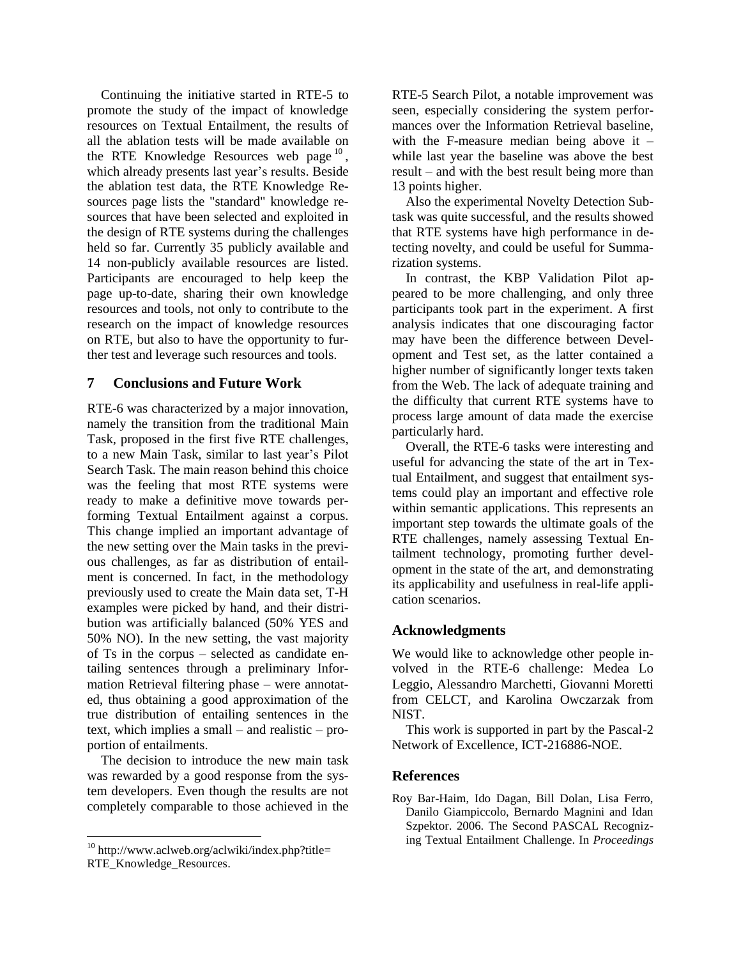Continuing the initiative started in RTE-5 to promote the study of the impact of knowledge resources on Textual Entailment, the results of all the ablation tests will be made available on the RTE Knowledge Resources web page  $10$ , which already presents last year's results. Beside the ablation test data, the RTE Knowledge Resources page lists the "standard" knowledge resources that have been selected and exploited in the design of RTE systems during the challenges held so far. Currently 35 publicly available and 14 non-publicly available resources are listed. Participants are encouraged to help keep the page up-to-date, sharing their own knowledge resources and tools, not only to contribute to the research on the impact of knowledge resources on RTE, but also to have the opportunity to further test and leverage such resources and tools.

### **7 Conclusions and Future Work**

RTE-6 was characterized by a major innovation, namely the transition from the traditional Main Task, proposed in the first five RTE challenges, to a new Main Task, similar to last year's Pilot Search Task. The main reason behind this choice was the feeling that most RTE systems were ready to make a definitive move towards performing Textual Entailment against a corpus. This change implied an important advantage of the new setting over the Main tasks in the previous challenges, as far as distribution of entailment is concerned. In fact, in the methodology previously used to create the Main data set, T-H examples were picked by hand, and their distribution was artificially balanced (50% YES and 50% NO). In the new setting, the vast majority of Ts in the corpus – selected as candidate entailing sentences through a preliminary Information Retrieval filtering phase – were annotated, thus obtaining a good approximation of the true distribution of entailing sentences in the text, which implies a small – and realistic – proportion of entailments.

The decision to introduce the new main task was rewarded by a good response from the system developers. Even though the results are not completely comparable to those achieved in the

RTE-5 Search Pilot, a notable improvement was seen, especially considering the system performances over the Information Retrieval baseline, with the F-measure median being above it – while last year the baseline was above the best result – and with the best result being more than 13 points higher.

Also the experimental Novelty Detection Subtask was quite successful, and the results showed that RTE systems have high performance in detecting novelty, and could be useful for Summarization systems.

In contrast, the KBP Validation Pilot appeared to be more challenging, and only three participants took part in the experiment. A first analysis indicates that one discouraging factor may have been the difference between Development and Test set, as the latter contained a higher number of significantly longer texts taken from the Web. The lack of adequate training and the difficulty that current RTE systems have to process large amount of data made the exercise particularly hard.

Overall, the RTE-6 tasks were interesting and useful for advancing the state of the art in Textual Entailment, and suggest that entailment systems could play an important and effective role within semantic applications. This represents an important step towards the ultimate goals of the RTE challenges, namely assessing Textual Entailment technology, promoting further development in the state of the art, and demonstrating its applicability and usefulness in real-life application scenarios.

# **Acknowledgments**

We would like to acknowledge other people involved in the RTE-6 challenge: Medea Lo Leggio, Alessandro Marchetti, Giovanni Moretti from CELCT, and Karolina Owczarzak from NIST.

This work is supported in part by the Pascal-2 Network of Excellence, ICT-216886-NOE.

### **References**

Roy Bar-Haim, Ido Dagan, Bill Dolan, Lisa Ferro, Danilo Giampiccolo, Bernardo Magnini and Idan Szpektor. 2006. The Second PASCAL Recognizing Textual Entailment Challenge. In *Proceedings* 

 $10$  http://www.aclweb.org/aclwiki/index.php?title= RTE\_Knowledge\_Resources.